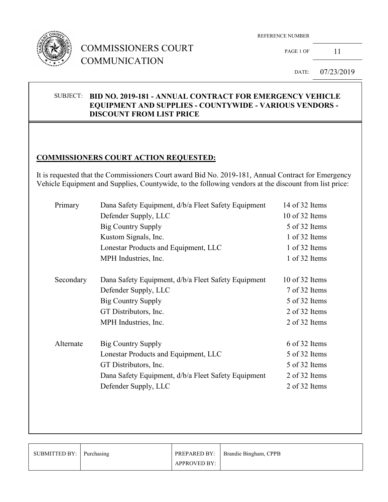

# COMMISSIONERS COURT COMMUNICATION

REFERENCE NUMBER

PAGE 1 OF 11

DATE: 07/23/2019

## SUBJECT: **BID NO. 2019-181 - ANNUAL CONTRACT FOR EMERGENCY VEHICLE EQUIPMENT AND SUPPLIES - COUNTYWIDE - VARIOUS VENDORS - DISCOUNT FROM LIST PRICE**

## **COMMISSIONERS COURT ACTION REQUESTED:**

It is requested that the Commissioners Court award Bid No. 2019-181, Annual Contract for Emergency Vehicle Equipment and Supplies, Countywide, to the following vendors at the discount from list price:

|  | Primary   | Dana Safety Equipment, d/b/a Fleet Safety Equipment |                |
|--|-----------|-----------------------------------------------------|----------------|
|  |           | Defender Supply, LLC                                | 10 of 32 Items |
|  |           | <b>Big Country Supply</b>                           | 5 of 32 Items  |
|  |           | Kustom Signals, Inc.                                | 1 of 32 Items  |
|  |           | Lonestar Products and Equipment, LLC                | 1 of 32 Items  |
|  |           | MPH Industries, Inc.                                | 1 of 32 Items  |
|  | Secondary | Dana Safety Equipment, d/b/a Fleet Safety Equipment | 10 of 32 Items |
|  |           | Defender Supply, LLC                                | 7 of 32 Items  |
|  |           | <b>Big Country Supply</b>                           | 5 of 32 Items  |
|  |           | GT Distributors, Inc.                               | 2 of 32 Items  |
|  |           | MPH Industries, Inc.                                | 2 of 32 Items  |
|  | Alternate | <b>Big Country Supply</b>                           | 6 of 32 Items  |
|  |           | Lonestar Products and Equipment, LLC                | 5 of 32 Items  |
|  |           | GT Distributors, Inc.                               | 5 of 32 Items  |
|  |           | Dana Safety Equipment, d/b/a Fleet Safety Equipment | 2 of 32 Items  |
|  |           | Defender Supply, LLC                                | 2 of 32 Items  |
|  |           |                                                     |                |

| SUBMITTED BY: Purchasing |                     | <b>PREPARED BY:</b> Brandie Bingham, CPPB |
|--------------------------|---------------------|-------------------------------------------|
|                          | <b>APPROVED BY:</b> |                                           |